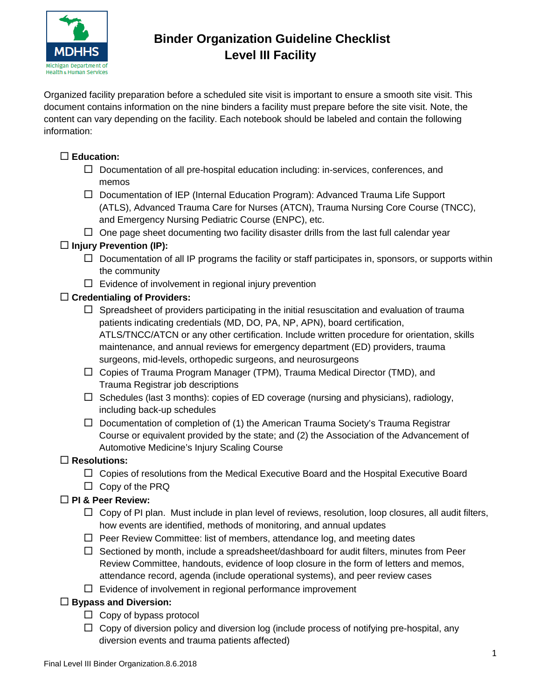

# **Binder Organization Guideline Checklist Level III Facility**

Organized facility preparation before a scheduled site visit is important to ensure a smooth site visit. This document contains information on the nine binders a facility must prepare before the site visit. Note, the content can vary depending on the facility. Each notebook should be labeled and contain the following information:

## **Education:**

- $\Box$  Documentation of all pre-hospital education including: in-services, conferences, and memos
- $\Box$  Documentation of IEP (Internal Education Program): Advanced Trauma Life Support (ATLS), Advanced Trauma Care for Nurses (ATCN), Trauma Nursing Core Course (TNCC), and Emergency Nursing Pediatric Course (ENPC), etc.
- $\Box$  One page sheet documenting two facility disaster drills from the last full calendar year

#### **Injury Prevention (IP):**

- $\Box$  Documentation of all IP programs the facility or staff participates in, sponsors, or supports within the community
- $\Box$  Evidence of involvement in regional injury prevention

#### **Credentialing of Providers:**

- $\Box$  Spreadsheet of providers participating in the initial resuscitation and evaluation of trauma patients indicating credentials (MD, DO, PA, NP, APN), board certification, ATLS/TNCC/ATCN or any other certification. Include written procedure for orientation, skills maintenance, and annual reviews for emergency department (ED) providers, trauma surgeons, mid-levels, orthopedic surgeons, and neurosurgeons
- $\Box$  Copies of Trauma Program Manager (TPM), Trauma Medical Director (TMD), and Trauma Registrar job descriptions
- $\Box$  Schedules (last 3 months): copies of ED coverage (nursing and physicians), radiology, including back-up schedules
- $\Box$  Documentation of completion of (1) the American Trauma Society's Trauma Registrar Course or equivalent provided by the state; and (2) the Association of the Advancement of Automotive Medicine's Injury Scaling Course

### **Resolutions:**

- $\Box$  Copies of resolutions from the Medical Executive Board and the Hospital Executive Board
- □ Copy of the PRQ

### **PI & Peer Review:**

- $\Box$  Copy of PI plan. Must include in plan level of reviews, resolution, loop closures, all audit filters, how events are identified, methods of monitoring, and annual updates
- $\Box$  Peer Review Committee: list of members, attendance log, and meeting dates
- $\Box$  Sectioned by month, include a spreadsheet/dashboard for audit filters, minutes from Peer Review Committee, handouts, evidence of loop closure in the form of letters and memos, attendance record, agenda (include operational systems), and peer review cases
- $\Box$  Evidence of involvement in regional performance improvement

### **Bypass and Diversion:**

- $\Box$  Copy of bypass protocol
- $\Box$  Copy of diversion policy and diversion log (include process of notifying pre-hospital, any diversion events and trauma patients affected)